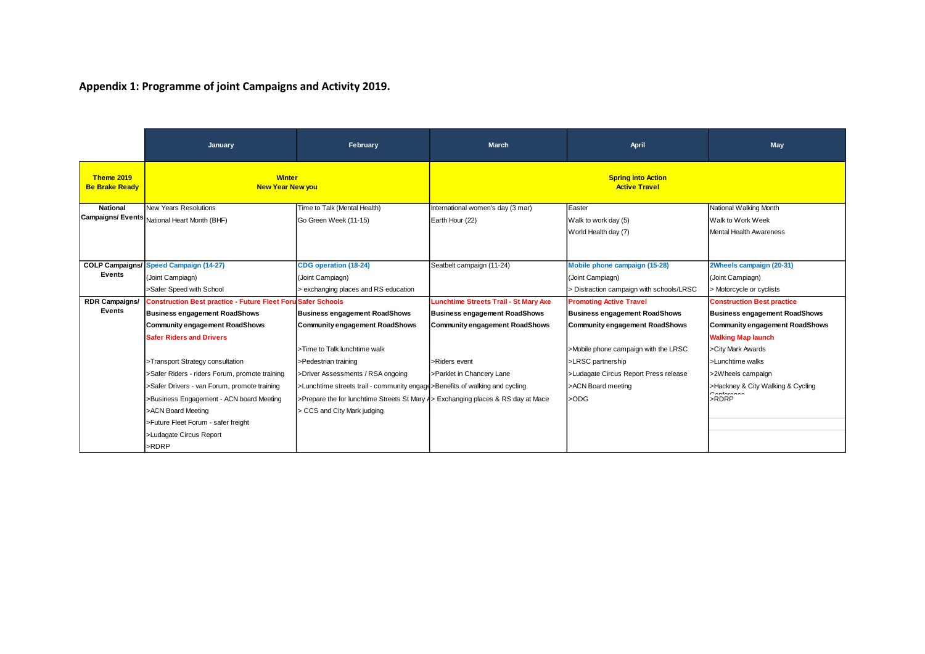## **Appendix 1: Programme of joint Campaigns and Activity 2019.**

|                                            | January                                                                                                                                                                                                                                                                                                                                                                                                                                                                    | February                                                                                                                                                                                                                                                                                                                                                                      | <b>March</b>                                                                                                                                                         | April                                                                                                                                                                                                                                                  | May                                                                                                                                                                                                                                                                   |  |
|--------------------------------------------|----------------------------------------------------------------------------------------------------------------------------------------------------------------------------------------------------------------------------------------------------------------------------------------------------------------------------------------------------------------------------------------------------------------------------------------------------------------------------|-------------------------------------------------------------------------------------------------------------------------------------------------------------------------------------------------------------------------------------------------------------------------------------------------------------------------------------------------------------------------------|----------------------------------------------------------------------------------------------------------------------------------------------------------------------|--------------------------------------------------------------------------------------------------------------------------------------------------------------------------------------------------------------------------------------------------------|-----------------------------------------------------------------------------------------------------------------------------------------------------------------------------------------------------------------------------------------------------------------------|--|
| <b>Theme 2019</b><br><b>Be Brake Ready</b> | <b>Winter</b><br><b>New Year New you</b>                                                                                                                                                                                                                                                                                                                                                                                                                                   |                                                                                                                                                                                                                                                                                                                                                                               | <b>Spring into Action</b><br><b>Active Travel</b>                                                                                                                    |                                                                                                                                                                                                                                                        |                                                                                                                                                                                                                                                                       |  |
| <b>National</b>                            | New Years Resolutions<br>Campaigns/ Events National Heart Month (BHF)                                                                                                                                                                                                                                                                                                                                                                                                      | Time to Talk (Mental Health)<br>Go Green Week (11-15)                                                                                                                                                                                                                                                                                                                         | International women's day (3 mar)<br>Earth Hour (22)                                                                                                                 | Easter<br>Walk to work day (5)<br>World Health day (7)                                                                                                                                                                                                 | National Walking Month<br>Walk to Work Week<br><b>Mental Health Awareness</b>                                                                                                                                                                                         |  |
| <b>COLP Campaigns/</b><br>Events           | Speed Campaign (14-27)<br>(Joint Campiagn)<br>>Safer Speed with School                                                                                                                                                                                                                                                                                                                                                                                                     | <b>CDG</b> operation (18-24)<br>(Joint Campiagn)<br>> exchanging places and RS education                                                                                                                                                                                                                                                                                      | Seatbelt campaign (11-24)                                                                                                                                            | Mobile phone campaign (15-28)<br>(Joint Campiagn)<br>> Distraction campaign with schools/LRSC                                                                                                                                                          | 2Wheels campaign (20-31)<br>(Joint Campiagn)<br>> Motorcycle or cyclists                                                                                                                                                                                              |  |
| <b>RDR Campaigns/</b><br>Events            | <b>Construction Best practice - Future Fleet Foru Safer Schools</b><br><b>Business engagement RoadShows</b><br><b>Community engagement RoadShows</b><br><b>Safer Riders and Drivers</b><br>>Transport Strategy consultation<br>>Safer Riders - riders Forum, promote training<br>>Safer Drivers - van Forum, promote training<br>>Business Engagement - ACN board Meeting<br>>ACN Board Meeting<br>>Future Fleet Forum - safer freight<br>>Ludagate Circus Report<br>>RDRP | <b>Business engagement RoadShows</b><br><b>Community engagement RoadShows</b><br>>Time to Talk lunchtime walk<br>>Pedestrian training<br>>Driver Assessments / RSA ongoing<br>>Lunchtime streets trail - community engage>Benefits of walking and cycling<br>>Prepare the for lunchtime Streets St Mary A > Exchanging places & RS day at Mace<br>> CCS and City Mark judging | Lunchtime Streets Trail - St Mary Axe<br><b>Business engagement RoadShows</b><br><b>Community engagement RoadShows</b><br>>Riders event<br>>Parklet in Chancery Lane | <b>Promoting Active Travel</b><br><b>Business engagement RoadShows</b><br><b>Community engagement RoadShows</b><br>>Mobile phone campaign with the LRSC<br>>LRSC partnership<br>>Ludagate Circus Report Press release<br>>ACN Board meeting<br>$>$ ODG | <b>Construction Best practice</b><br><b>Business engagement RoadShows</b><br><b>Community engagement RoadShows</b><br><b>Walking Map launch</b><br>>City Mark Awards<br>>Lunchtime walks<br>>2Wheels campaign<br>>Hackney & City Walking & Cycling<br>$\sim$<br>>RDRP |  |